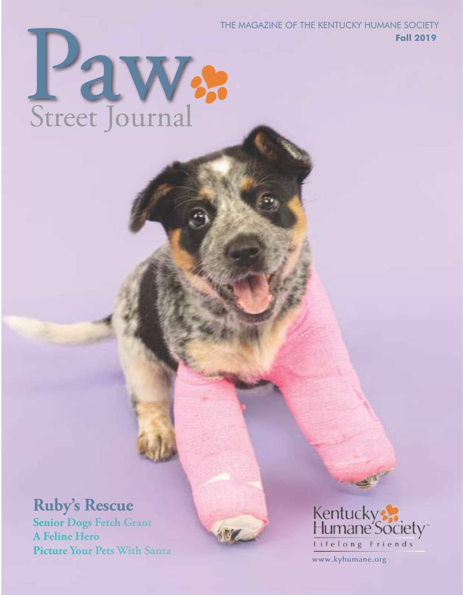THE MAGAZINE OF THE KENTUCKY HUMANE SOCIETY **Fall 2019**

# **Paw**<br>Street Journal Street Journal

## **Ruby's Rescue**

**Senior Dogs Fetch Grant A Feline Hero Picture Your Pets With Santa**



**www.kyhumane.org**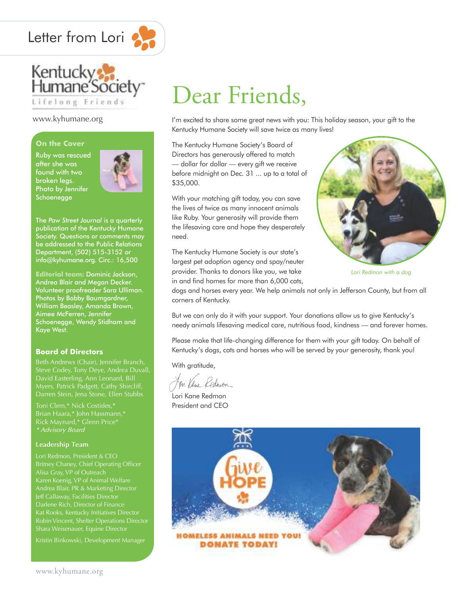



#### www.kyhumane.org

#### **On the Cover**

Ruby was rescued after she was found with two broken legs. Photo by Jennifer Schoenegge



The *Paw Street Journal* is a quarterly publication of the Kentucky Humane Society. Questions or comments may be addressed to the Public Relations Department, (502) 515-3152 or info@kyhumane.org. Circ.: 16,500

**Editorial team:** Dominic Jackson, Andrea Blair and Megan Decker. Volunteer proofreader Sara Ulliman. Photos by Bobby Baumgardner, William Beasley, Amanda Brown, Aimee McFerren, Jennifer Schoenegge, Wendy Stidham and Kaye West.

#### **Board of Directors**

David Easterling, Ann Leonard, Bill Myers, Patrick Padgett, Cathy Shircliff, Darren Stein, Jena Stone, Ellen Stubbs

#### **Leadership Team**

Kat Rooks, Kentucky Initiatives Director

Kristin Binkowski, Development Manager

# Dear Friends,

I'm excited to share some great news with you: This holiday season, your gift to the Kentucky Humane Society will save twice as many lives!

The Kentucky Humane Society's Board of Directors has generously offered to match — dollar for dollar — every gift we receive before midnight on Dec. 31 ... up to a total of \$35,000.

With your matching gift today, you can save the lives of twice as many innocent animals like Ruby. Your generosity will provide them the lifesaving care and hope they desperately need.



*Lori Redmon with a dog*

The Kentucky Humane Society is our state's largest pet adoption agency and spay/neuter provider. Thanks to donors like you, we take in and find homes for more than 6,000 cats,

dogs and horses every year. We help animals not only in Jefferson County, but from all corners of Kentucky.

But we can only do it with your support. Your donations allow us to give Kentucky's needy animals lifesaving medical care, nutritious food, kindness — and forever homes.

Please make that life-changing difference for them with your gift today. On behalf of Kentucky's dogs, cats and horses who will be served by your generosity, thank you!

With gratitude,

Lori Kane Redmon President and CEO

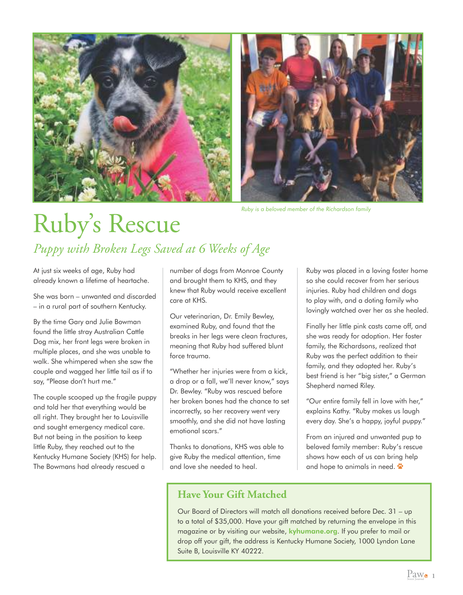



*Ruby is a beloved member of the Richardson family*

# Ruby's Rescue *Puppy with Broken Legs Saved at 6 Weeks of Age*

At just six weeks of age, Ruby had already known a lifetime of heartache.

She was born – unwanted and discarded – in a rural part of southern Kentucky.

By the time Gary and Julie Bowman found the little stray Australian Cattle Dog mix, her front legs were broken in multiple places, and she was unable to walk. She whimpered when she saw the couple and wagged her little tail as if to say, "Please don't hurt me."

The couple scooped up the fragile puppy and told her that everything would be all right. They brought her to Louisville and sought emergency medical care. But not being in the position to keep little Ruby, they reached out to the Kentucky Humane Society (KHS) for help. The Bowmans had already rescued a

number of dogs from Monroe County and brought them to KHS, and they knew that Ruby would receive excellent care at KHS.

Our veterinarian, Dr. Emily Bewley, examined Ruby, and found that the breaks in her legs were clean fractures, meaning that Ruby had suffered blunt force trauma.

"Whether her injuries were from a kick, a drop or a fall, we'll never know," says Dr. Bewley. "Ruby was rescued before her broken bones had the chance to set incorrectly, so her recovery went very smoothly, and she did not have lasting emotional scars."

Thanks to donations, KHS was able to give Ruby the medical attention, time and love she needed to heal.

**Have Your Gift Matched**

Ruby was placed in a loving foster home so she could recover from her serious injuries. Ruby had children and dogs to play with, and a doting family who lovingly watched over her as she healed.

Finally her little pink casts came off, and she was ready for adoption. Her foster family, the Richardsons, realized that Ruby was the perfect addition to their family, and they adopted her. Ruby's best friend is her "big sister," a German Shepherd named Riley.

"Our entire family fell in love with her," explains Kathy. "Ruby makes us laugh every day. She's a happy, joyful puppy."

From an injured and unwanted pup to beloved family member: Ruby's rescue shows how each of us can bring help and hope to animals in need.  $\ddot{\bullet}$ 

Our Board of Directors will match all donations received before Dec. 31 – up to a total of \$35,000. Have your gift matched by returning the envelope in this magazine or by visiting our website, kyhumane.org. If you prefer to mail or drop off your gift, the address is Kentucky Humane Society, 1000 Lyndon Lane Suite B, Louisville KY 40222.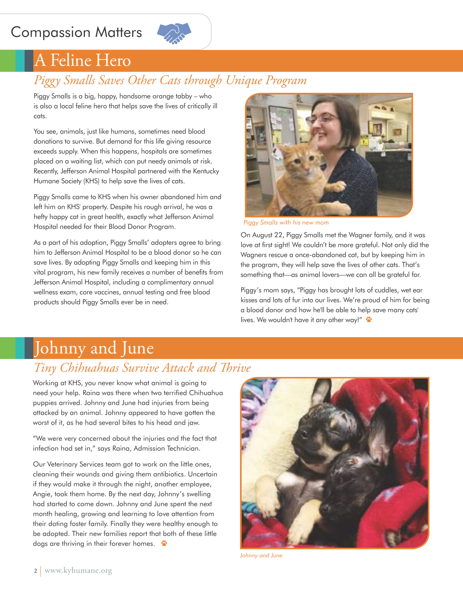## Compassion Matters



## A Feline Hero

### *Piggy Smalls Saves Other Cats through Unique Program*

Piggy Smalls is a big, happy, handsome orange tabby – who is also a local feline hero that helps save the lives of critically ill cats.

You see, animals, just like humans, sometimes need blood donations to survive. But demand for this life giving resource exceeds supply. When this happens, hospitals are sometimes placed on a waiting list, which can put needy animals at risk. Recently, Jefferson Animal Hospital partnered with the Kentucky Humane Society (KHS) to help save the lives of cats.

Piggy Smalls came to KHS when his owner abandoned him and left him on KHS' property. Despite his rough arrival, he was a hefty happy cat in great health, exactly what Jefferson Animal Hospital needed for their Blood Donor Program.

As a part of his adoption, Piggy Smalls' adopters agree to bring him to Jefferson Animal Hospital to be a blood donor so he can save lives. By adopting Piggy Smalls and keeping him in this vital program, his new family receives a number of benefits from Jefferson Animal Hospital, including a complimentary annual wellness exam, core vaccines, annual testing and free blood products should Piggy Smalls ever be in need.



*Piggy Smalls with his new mom*

On August 22, Piggy Smalls met the Wagner family, and it was love at first sight! We couldn't be more grateful. Not only did the Wagners rescue a once-abandoned cat, but by keeping him in the program, they will help save the lives of other cats. That's something that—as animal lovers—we can all be grateful for.

Piggy's mom says, "Piggy has brought lots of cuddles, wet ear kisses and lots of fur into our lives. We're proud of him for being a blood donor and how he'll be able to help save many cats' lives. We wouldn't have it any other way!"

## Johnny and June

### *Tiny Chihuahuas Survive Attack and Thrive*

Working at KHS, you never know what animal is going to need your help. Raina was there when two terrified Chihuahua puppies arrived. Johnny and June had injuries from being attacked by an animal. Johnny appeared to have gotten the worst of it, as he had several bites to his head and jaw.

"We were very concerned about the injuries and the fact that infection had set in," says Raina, Admission Technician.

Our Veterinary Services team got to work on the little ones, cleaning their wounds and giving them antibiotics. Uncertain if they would make it through the night, another employee, Angie, took them home. By the next day, Johnny's swelling had started to come down. Johnny and June spent the next month healing, growing and learning to love attention from their doting foster family. Finally they were healthy enough to be adopted. Their new families report that both of these little dogs are thriving in their forever homes.



*Johnny and June*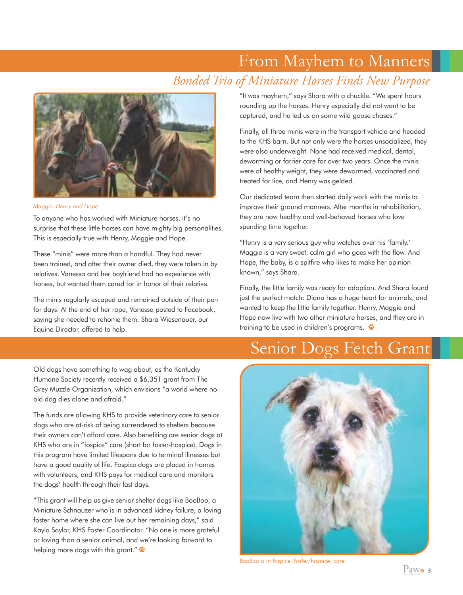## From Mayhem to Manners *Bonded Trio of Miniature Horses Finds New Purpose*



*Maggie, Henry and Hope* 

To anyone who has worked with Miniature horses, it's no surprise that these little horses can have mighty big personalities. This is especially true with Henry, Maggie and Hope.

These "minis" were more than a handful. They had never been trained, and after their owner died, they were taken in by relatives. Vanessa and her boyfriend had no experience with horses, but wanted them cared for in honor of their relative.

The minis regularly escaped and remained outside of their pen for days. At the end of her rope, Vanessa posted to Facebook, saying she needed to rehome them. Shara Wiesenauer, our Equine Director, offered to help.

"It was mayhem," says Shara with a chuckle. "We spent hours rounding up the horses. Henry especially did not want to be captured, and he led us on some wild goose chases."

Finally, all three minis were in the transport vehicle and headed to the KHS barn. But not only were the horses unsocialized, they were also underweight. None had received medical, dental, deworming or farrier care for over two years. Once the minis were of healthy weight, they were dewormed, vaccinated and treated for lice, and Henry was gelded.

Our dedicated team then started daily work with the minis to improve their ground manners. After months in rehabilitation, they are now healthy and well-behaved horses who love spending time together.

"Henry is a very serious guy who watches over his 'family.' Maggie is a very sweet, calm girl who goes with the flow. And Hope, the baby, is a spitfire who likes to make her opinion known," says Shara.

Finally, the little family was ready for adoption. And Shara found just the perfect match: Diana has a huge heart for animals, and wanted to keep the little family together. Henry, Maggie and Hope now live with two other miniature horses, and they are in training to be used in children's programs.

## Senior Dogs Fetch Grant

Old dogs have something to wag about, as the Kentucky Humane Society recently received a \$6,351 grant from The Grey Muzzle Organization, which envisions "a world where no old dog dies alone and afraid."

The funds are allowing KHS to provide veterinary care to senior dogs who are at-risk of being surrendered to shelters because their owners can't afford care. Also benefiting are senior dogs at KHS who are in "fospice" care (short for foster-hospice). Dogs in this program have limited lifespans due to terminal illnesses but have a good quality of life. Fospice dogs are placed in homes with volunteers, and KHS pays for medical care and monitors the dogs' health through their last days.

"This grant will help us give senior shelter dogs like BooBoo, a Miniature Schnauzer who is in advanced kidney failure, a loving foster home where she can live out her remaining days," said Kayla Saylor, KHS Foster Coordinator. "No one is more grateful or loving than a senior animal, and we're looking forward to helping more dogs with this grant."



*BooBoo is in fospice (foster/hospice) care*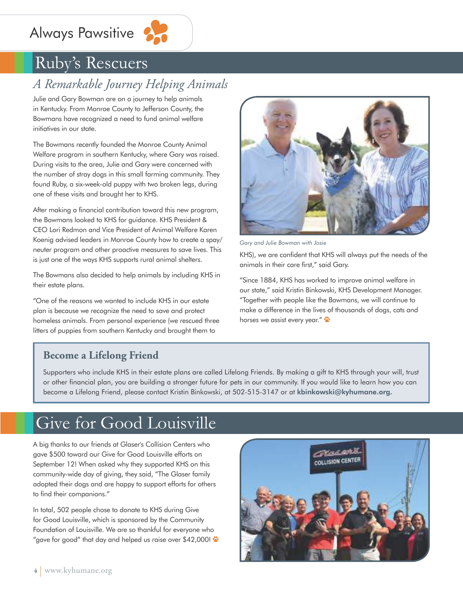## Always Pawsitive



## Ruby's Rescuers

## *A Remarkable Journey Helping Animals*

Julie and Gary Bowman are on a journey to help animals in Kentucky. From Monroe County to Jefferson County, the Bowmans have recognized a need to fund animal welfare initiatives in our state.

The Bowmans recently founded the Monroe County Animal Welfare program in southern Kentucky, where Gary was raised. During visits to the area, Julie and Gary were concerned with the number of stray dogs in this small farming community. They found Ruby, a six-week-old puppy with two broken legs, during one of these visits and brought her to KHS.

After making a financial contribution toward this new program, the Bowmans looked to KHS for guidance. KHS President & CEO Lori Redmon and Vice President of Animal Welfare Karen Koenig advised leaders in Monroe County how to create a spay/ neuter program and other proactive measures to save lives. This is just one of the ways KHS supports rural animal shelters.

The Bowmans also decided to help animals by including KHS in their estate plans.

"One of the reasons we wanted to include KHS in our estate plan is because we recognize the need to save and protect homeless animals. From personal experience (we rescued three litters of puppies from southern Kentucky and brought them to



*Gary and Julie Bowman with Josie*

KHS), we are confident that KHS will always put the needs of the animals in their care first," said Gary.

"Since 1884, KHS has worked to improve animal welfare in our state," said Kristin Binkowski, KHS Development Manager. "Together with people like the Bowmans, we will continue to make a difference in the lives of thousands of dogs, cats and horses we assist every year."

#### **Become a Lifelong Friend**

Supporters who include KHS in their estate plans are called Lifelong Friends. By making a gift to KHS through your will, trust or other financial plan, you are building a stronger future for pets in our community. If you would like to learn how you can become a Lifelong Friend, please contact Kristin Binkowski, at 502-515-3147 or at kbinkowski@kyhumane.org.

## Give for Good Louisville

A big thanks to our friends at Glaser's Collision Centers who gave \$500 toward our Give for Good Louisville efforts on September 12! When asked why they supported KHS on this community-wide day of giving, they said, "The Glaser family adopted their dogs and are happy to support efforts for others to find their companions."

In total, 502 people chose to donate to KHS during Give for Good Louisville, which is sponsored by the Community Foundation of Louisville. We are so thankful for everyone who "gave for good" that day and helped us raise over \$42,000!  $\ddot{\bullet}$ 

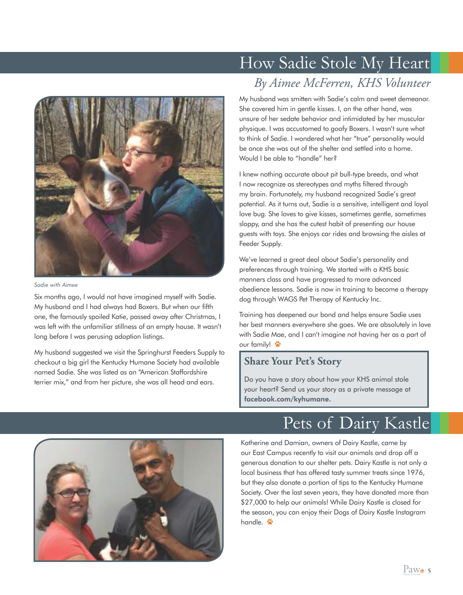

*Sadie with Aimee*

Six months ago, I would not have imagined myself with Sadie. My husband and I had always had Boxers. But when our fifth one, the famously spoiled Katie, passed away after Christmas, I was left with the unfamiliar stillness of an empty house. It wasn't long before I was perusing adoption listings.

My husband suggested we visit the Springhurst Feeders Supply to checkout a big girl the Kentucky Humane Society had available named Sadie. She was listed as an "American Staffordshire terrier mix," and from her picture, she was all head and ears.

## *By Aimee McFerren, KHS Volunteer* How Sadie Stole My Heart

My husband was smitten with Sadie's calm and sweet demeanor. She covered him in gentle kisses. I, on the other hand, was unsure of her sedate behavior and intimidated by her muscular physique. I was accustomed to goofy Boxers. I wasn't sure what to think of Sadie. I wondered what her "true" personality would be once she was out of the shelter and settled into a home. Would I be able to "handle" her?

I knew nothing accurate about pit bull-type breeds, and what I now recognize as stereotypes and myths filtered through my brain. Fortunately, my husband recognized Sadie's great potential. As it turns out, Sadie is a sensitive, intelligent and loyal love bug. She loves to give kisses, sometimes gentle, sometimes sloppy, and she has the cutest habit of presenting our house guests with toys. She enjoys car rides and browsing the aisles at Feeder Supply.

We've learned a great deal about Sadie's personality and preferences through training. We started with a KHS basic manners class and have progressed to more advanced obedience lessons. Sadie is now in training to become a therapy dog through WAGS Pet Therapy of Kentucky Inc.

Training has deepened our bond and helps ensure Sadie uses her best manners everywhere she goes. We are absolutely in love with Sadie Mae, and I can't imagine not having her as a part of our family!

#### **Share Your Pet's Story**

Do you have a story about how your KHS animal stole your heart? Send us your story as a private message at facebook.com/kyhumane.



Pets of Dairy Kastle

Katherine and Damian, owners of Dairy Kastle, came by our East Campus recently to visit our animals and drop off a generous donation to our shelter pets. Dairy Kastle is not only a local business that has offered tasty summer treats since 1976, but they also donate a portion of tips to the Kentucky Humane Society. Over the last seven years, they have donated more than \$27,000 to help our animals! While Dairy Kastle is closed for the season, you can enjoy their Dogs of Dairy Kastle Instagram handle.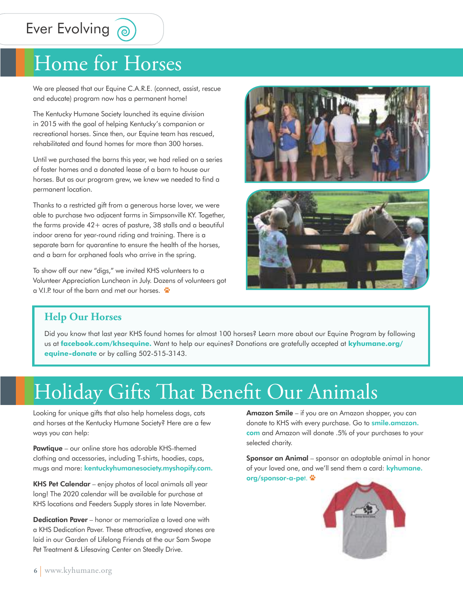## Ever Evolving @

## Home for Horses

We are pleased that our Equine C.A.R.E. (connect, assist, rescue and educate) program now has a permanent home!

The Kentucky Humane Society launched its equine division in 2015 with the goal of helping Kentucky's companion or recreational horses. Since then, our Equine team has rescued, rehabilitated and found homes for more than 300 horses.

Until we purchased the barns this year, we had relied on a series of foster homes and a donated lease of a barn to house our horses. But as our program grew, we knew we needed to find a permanent location.

Thanks to a restricted gift from a generous horse lover, we were able to purchase two adjacent farms in Simpsonville KY. Together, the farms provide 42+ acres of pasture, 38 stalls and a beautiful indoor arena for year-round riding and training. There is a separate barn for quarantine to ensure the health of the horses, and a barn for orphaned foals who arrive in the spring.

To show off our new "digs," we invited KHS volunteers to a Volunteer Appreciation Luncheon in July. Dozens of volunteers got a V.I.P. tour of the barn and met our horses.





#### **Help Our Horses**

Did you know that last year KHS found homes for almost 100 horses? Learn more about our Equine Program by following us at **facebook.com/khsequine.** Want to help our equines? Donations are gratefully accepted at **kyhumane.org/ equine-donate** or by calling 502-515-3143.

# Holiday Gifts That Benefit Our Animals

Looking for unique gifts that also help homeless dogs, cats and horses at the Kentucky Humane Society? Here are a few ways you can help:

**Pawtique** – our online store has adorable KHS-themed clothing and accessories, including T-shirts, hoodies, caps, mugs and more: kentuckyhumanesociety.myshopify.com.

KHS Pet Calendar – enjoy photos of local animals all year long! The 2020 calendar will be available for purchase at KHS locations and Feeders Supply stores in late November.

**Dedication Paver** – honor or memorialize a loved one with a KHS Dedication Paver. These attractive, engraved stones are laid in our Garden of Lifelong Friends at the our Sam Swope Pet Treatment & Lifesaving Center on Steedly Drive.

Amazon Smile – if you are an Amazon shopper, you can donate to KHS with every purchase. Go to *smile.amazon.* com and Amazon will donate .5% of your purchases to your selected charity.

Sponsor an Animal – sponsor an adoptable animal in honor of your loved one, and we'll send them a card: kyhumane. org/sponsor-a-pet.

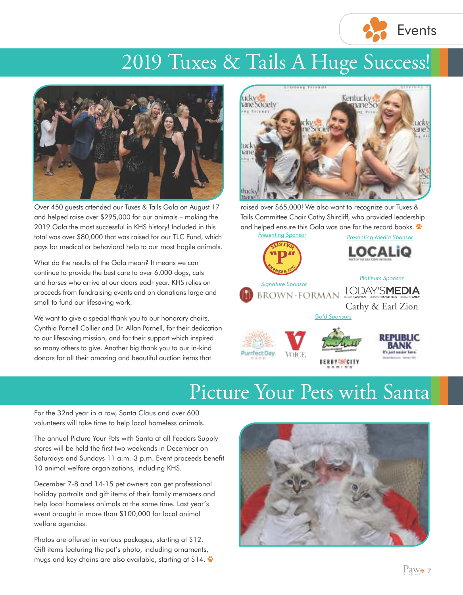

## 2019 Tuxes & Tails A Huge Success!



Over 450 guests attended our Tuxes & Tails Gala on August 17 and helped raise over \$295,000 for our animals – making the 2019 Gala the most successful in KHS history! Included in this total was over \$80,000 that was raised for our TLC Fund, which pays for medical or behavioral help to our most fragile animals.

What do the results of the Gala mean? It means we can continue to provide the best care to over 6,000 dogs, cats and horses who arrive at our doors each year. KHS relies on proceeds from fundraising events and on donations large and small to fund our lifesaving work.

We want to give a special thank you to our honorary chairs, Cynthia Parnell Collier and Dr. Allan Parnell, for their dedication to our lifesaving mission, and for their support which inspired so many others to give. Another big thank you to our in-kind donors for all their amazing and beautiful auction items that



raised over \$65,000! We also want to recognize our Tuxes & Tails Committee Chair Cathy Shircliff, who provided leadership and helped ensure this Gala was one for the record books.



*RESEVENCEP* 

## Picture Your Pets with Santa

For the 32nd year in a row, Santa Claus and over 600 volunteers will take time to help local homeless animals.

The annual Picture Your Pets with Santa at all Feeders Supply stores will be held the first two weekends in December on Saturdays and Sundays 11 a.m.-3 p.m. Event proceeds benefit 10 animal welfare organizations, including KHS.

December 7-8 and 14-15 pet owners can get professional holiday portraits and gift items of their family members and help local homeless animals at the same time. Last year's event brought in more than \$100,000 for local animal welfare agencies.

Photos are offered in various packages, starting at \$12. Gift items featuring the pet's photo, including ornaments, mugs and key chains are also available, starting at \$14.



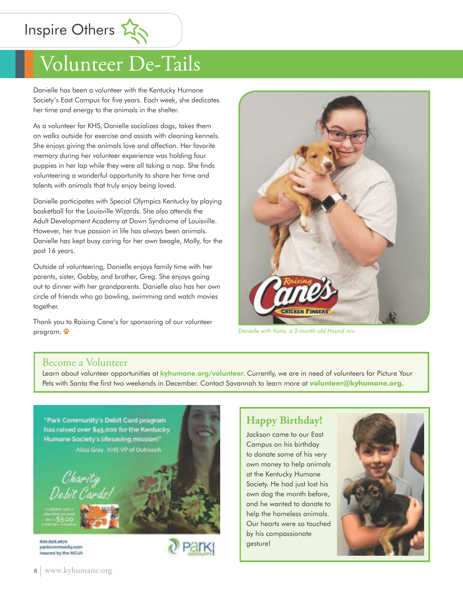Inspire Others

# Volunteer De-Tails

Danielle has been a volunteer with the Kentucky Humane Society's East Campus for five years. Each week, she dedicates her time and energy to the animals in the shelter.

As a volunteer for KHS, Danielle socializes dogs, takes them on walks outside for exercise and assists with cleaning kennels. She enjoys giving the animals love and affection. Her favorite memory during her volunteer experience was holding four puppies in her lap while they were all taking a nap. She finds volunteering a wonderful opportunity to share her time and talents with animals that truly enjoy being loved.

Danielle participates with Special Olympics Kentucky by playing basketball for the Louisville Wizards. She also attends the Adult Development Academy at Down Syndrome of Louisville. However, her true passion in life has always been animals. Danielle has kept busy caring for her own beagle, Molly, for the past 16 years.

Outside of volunteering, Danielle enjoys family time with her parents, sister, Gabby, and brother, Greg. She enjoys going out to dinner with her grandparents. Danielle also has her own circle of friends who go bowling, swimming and watch movies together.

Thank you to Raising Cane's for sponsoring of our volunteer program.



*Danielle with Katie, a 2-month-old Hound mix*

#### Become a Volunteer

Learn about volunteer opportunities at *kyhumane.org/volunteer*. Currently, we are in need of volunteers for Picture Your Pets with Santa the first two weekends in December. Contact Savannah to learn more at **volunteer@kyhumane.org.**



#### **Happy Birthday!**

Jackson came to our East Campus on his birthday to donate some of his very own money to help animals at the Kentucky Humane Society. He had just lost his own dog the month before, and he wanted to donate to help the homeless animals. Our hearts were so touched by his compassionate gesture!

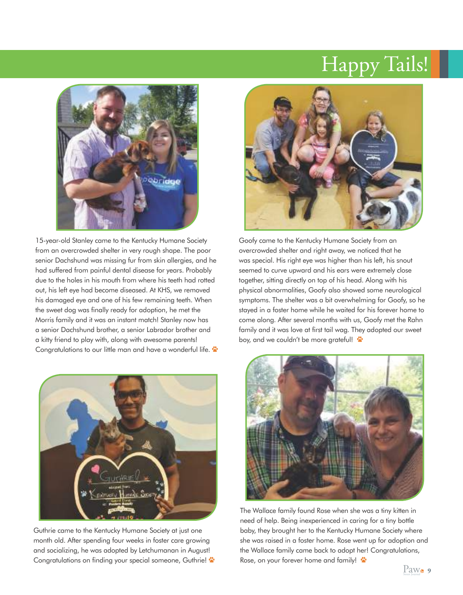## Happy Tails!



15-year-old Stanley came to the Kentucky Humane Society from an overcrowded shelter in very rough shape. The poor senior Dachshund was missing fur from skin allergies, and he had suffered from painful dental disease for years. Probably due to the holes in his mouth from where his teeth had rotted out, his left eye had become diseased. At KHS, we removed his damaged eye and one of his few remaining teeth. When the sweet dog was finally ready for adoption, he met the Morris family and it was an instant match! Stanley now has a senior Dachshund brother, a senior Labrador brother and a kitty friend to play with, along with awesome parents! Congratulations to our little man and have a wonderful life.



Guthrie came to the Kentucky Humane Society at just one month old. After spending four weeks in foster care growing and socializing, he was adopted by Letchumanan in August! Congratulations on finding your special someone, Guthrie!



Goofy came to the Kentucky Humane Society from an overcrowded shelter and right away, we noticed that he was special. His right eye was higher than his left, his snout seemed to curve upward and his ears were extremely close together, sitting directly on top of his head. Along with his physical abnormalities, Goofy also showed some neurological symptoms. The shelter was a bit overwhelming for Goofy, so he stayed in a foster home while he waited for his forever home to come along. After several months with us, Goofy met the Rahn family and it was love at first tail wag. They adopted our sweet boy, and we couldn't be more grateful!



The Wallace family found Rose when she was a tiny kitten in need of help. Being inexperienced in caring for a tiny bottle baby, they brought her to the Kentucky Humane Society where she was raised in a foster home. Rose went up for adoption and the Wallace family came back to adopt her! Congratulations, Rose, on your forever home and family!